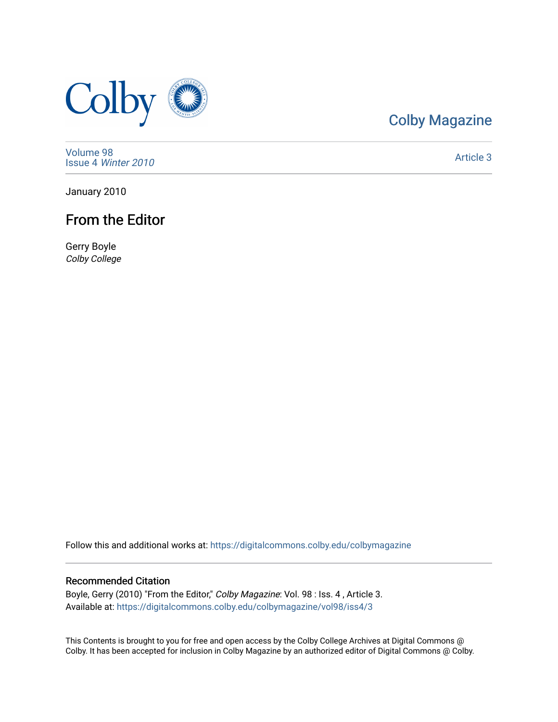

## [Colby Magazine](https://digitalcommons.colby.edu/colbymagazine)

[Volume 98](https://digitalcommons.colby.edu/colbymagazine/vol98) Issue 4 [Winter 2010](https://digitalcommons.colby.edu/colbymagazine/vol98/iss4) 

[Article 3](https://digitalcommons.colby.edu/colbymagazine/vol98/iss4/3) 

January 2010

## From the Editor

Gerry Boyle Colby College

Follow this and additional works at: [https://digitalcommons.colby.edu/colbymagazine](https://digitalcommons.colby.edu/colbymagazine?utm_source=digitalcommons.colby.edu%2Fcolbymagazine%2Fvol98%2Fiss4%2F3&utm_medium=PDF&utm_campaign=PDFCoverPages)

### Recommended Citation

Boyle, Gerry (2010) "From the Editor," Colby Magazine: Vol. 98 : Iss. 4 , Article 3. Available at: [https://digitalcommons.colby.edu/colbymagazine/vol98/iss4/3](https://digitalcommons.colby.edu/colbymagazine/vol98/iss4/3?utm_source=digitalcommons.colby.edu%2Fcolbymagazine%2Fvol98%2Fiss4%2F3&utm_medium=PDF&utm_campaign=PDFCoverPages)

This Contents is brought to you for free and open access by the Colby College Archives at Digital Commons @ Colby. It has been accepted for inclusion in Colby Magazine by an authorized editor of Digital Commons @ Colby.